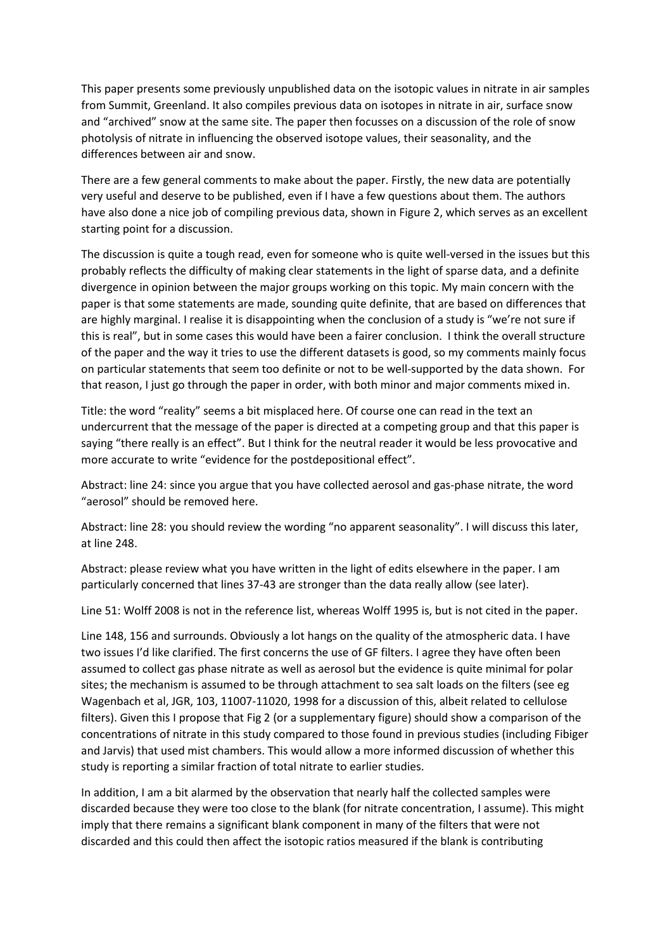This paper presents some previously unpublished data on the isotopic values in nitrate in air samples from Summit, Greenland. It also compiles previous data on isotopes in nitrate in air, surface snow and "archived" snow at the same site. The paper then focusses on a discussion of the role of snow photolysis of nitrate in influencing the observed isotope values, their seasonality, and the differences between air and snow.

There are a few general comments to make about the paper. Firstly, the new data are potentially very useful and deserve to be published, even if I have a few questions about them. The authors have also done a nice job of compiling previous data, shown in Figure 2, which serves as an excellent starting point for a discussion.

The discussion is quite a tough read, even for someone who is quite well-versed in the issues but this probably reflects the difficulty of making clear statements in the light of sparse data, and a definite divergence in opinion between the major groups working on this topic. My main concern with the paper is that some statements are made, sounding quite definite, that are based on differences that are highly marginal. I realise it is disappointing when the conclusion of a study is "we're not sure if this is real", but in some cases this would have been a fairer conclusion. I think the overall structure of the paper and the way it tries to use the different datasets is good, so my comments mainly focus on particular statements that seem too definite or not to be well-supported by the data shown. For that reason, I just go through the paper in order, with both minor and major comments mixed in.

Title: the word "reality" seems a bit misplaced here. Of course one can read in the text an undercurrent that the message of the paper is directed at a competing group and that this paper is saying "there really is an effect". But I think for the neutral reader it would be less provocative and more accurate to write "evidence for the postdepositional effect".

Abstract: line 24: since you argue that you have collected aerosol and gas-phase nitrate, the word "aerosol" should be removed here.

Abstract: line 28: you should review the wording "no apparent seasonality". I will discuss this later, at line 248.

Abstract: please review what you have written in the light of edits elsewhere in the paper. I am particularly concerned that lines 37-43 are stronger than the data really allow (see later).

Line 51: Wolff 2008 is not in the reference list, whereas Wolff 1995 is, but is not cited in the paper.

Line 148, 156 and surrounds. Obviously a lot hangs on the quality of the atmospheric data. I have two issues I'd like clarified. The first concerns the use of GF filters. I agree they have often been assumed to collect gas phase nitrate as well as aerosol but the evidence is quite minimal for polar sites; the mechanism is assumed to be through attachment to sea salt loads on the filters (see eg Wagenbach et al, JGR, 103, 11007-11020, 1998 for a discussion of this, albeit related to cellulose filters). Given this I propose that Fig 2 (or a supplementary figure) should show a comparison of the concentrations of nitrate in this study compared to those found in previous studies (including Fibiger and Jarvis) that used mist chambers. This would allow a more informed discussion of whether this study is reporting a similar fraction of total nitrate to earlier studies.

In addition, I am a bit alarmed by the observation that nearly half the collected samples were discarded because they were too close to the blank (for nitrate concentration, I assume). This might imply that there remains a significant blank component in many of the filters that were not discarded and this could then affect the isotopic ratios measured if the blank is contributing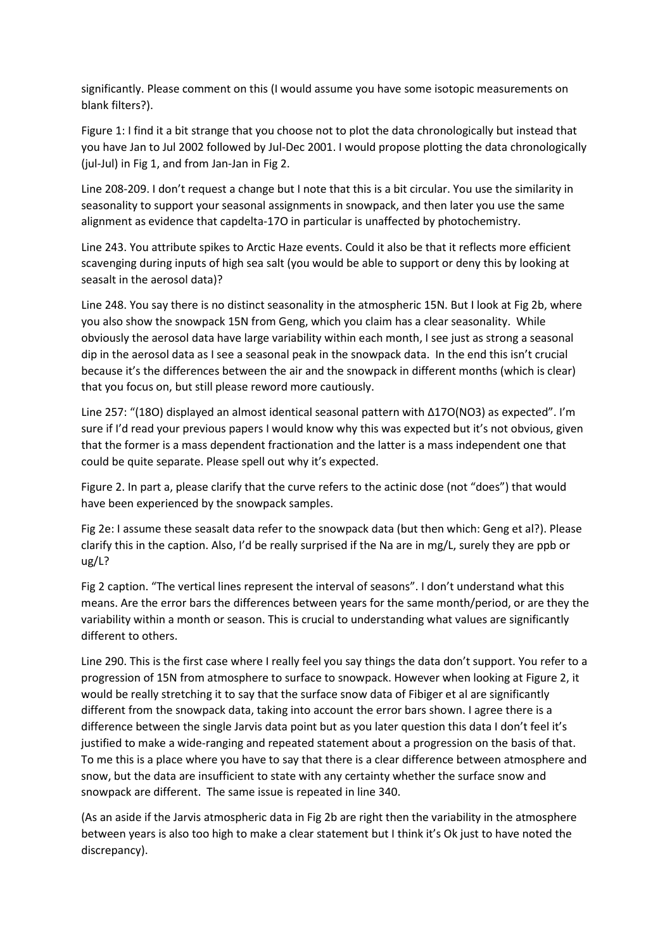significantly. Please comment on this (I would assume you have some isotopic measurements on blank filters?).

Figure 1: I find it a bit strange that you choose not to plot the data chronologically but instead that you have Jan to Jul 2002 followed by Jul-Dec 2001. I would propose plotting the data chronologically (jul-Jul) in Fig 1, and from Jan-Jan in Fig 2.

Line 208-209. I don't request a change but I note that this is a bit circular. You use the similarity in seasonality to support your seasonal assignments in snowpack, and then later you use the same alignment as evidence that capdelta-17O in particular is unaffected by photochemistry.

Line 243. You attribute spikes to Arctic Haze events. Could it also be that it reflects more efficient scavenging during inputs of high sea salt (you would be able to support or deny this by looking at seasalt in the aerosol data)?

Line 248. You say there is no distinct seasonality in the atmospheric 15N. But I look at Fig 2b, where you also show the snowpack 15N from Geng, which you claim has a clear seasonality. While obviously the aerosol data have large variability within each month, I see just as strong a seasonal dip in the aerosol data as I see a seasonal peak in the snowpack data. In the end this isn't crucial because it's the differences between the air and the snowpack in different months (which is clear) that you focus on, but still please reword more cautiously.

Line 257: "(18O) displayed an almost identical seasonal pattern with Δ17O(NO3) as expected". I'm sure if I'd read your previous papers I would know why this was expected but it's not obvious, given that the former is a mass dependent fractionation and the latter is a mass independent one that could be quite separate. Please spell out why it's expected.

Figure 2. In part a, please clarify that the curve refers to the actinic dose (not "does") that would have been experienced by the snowpack samples.

Fig 2e: I assume these seasalt data refer to the snowpack data (but then which: Geng et al?). Please clarify this in the caption. Also, I'd be really surprised if the Na are in mg/L, surely they are ppb or ug/L?

Fig 2 caption. "The vertical lines represent the interval of seasons". I don't understand what this means. Are the error bars the differences between years for the same month/period, or are they the variability within a month or season. This is crucial to understanding what values are significantly different to others.

Line 290. This is the first case where I really feel you say things the data don't support. You refer to a progression of 15N from atmosphere to surface to snowpack. However when looking at Figure 2, it would be really stretching it to say that the surface snow data of Fibiger et al are significantly different from the snowpack data, taking into account the error bars shown. I agree there is a difference between the single Jarvis data point but as you later question this data I don't feel it's justified to make a wide-ranging and repeated statement about a progression on the basis of that. To me this is a place where you have to say that there is a clear difference between atmosphere and snow, but the data are insufficient to state with any certainty whether the surface snow and snowpack are different. The same issue is repeated in line 340.

(As an aside if the Jarvis atmospheric data in Fig 2b are right then the variability in the atmosphere between years is also too high to make a clear statement but I think it's Ok just to have noted the discrepancy).